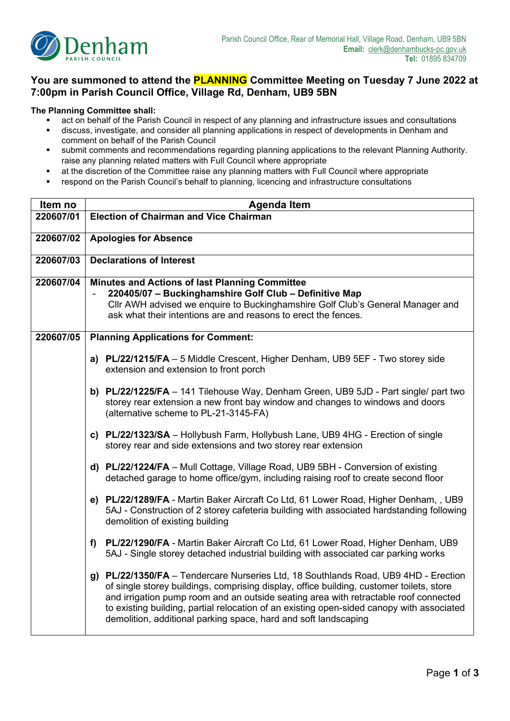

## **You are summoned to attend the PLANNING Committee Meeting on Tuesday 7 June 2022 at 7:00pm in Parish Council Office, Village Rd, Denham, UB9 5BN**

## **The Planning Committee shall:**

- act on behalf of the Parish Council in respect of any planning and infrastructure issues and consultations<br>■ discuss investigate and consider all planning applications in respect of developments in Depham and
- discuss, investigate, and consider all planning applications in respect of developments in Denham and comment on behalf of the Parish Council
- submit comments and recommendations regarding planning applications to the relevant Planning Authority. raise any planning related matters with Full Council where appropriate
- at the discretion of the Committee raise any planning matters with Full Council where appropriate
- respond on the Parish Council's behalf to planning, licencing and infrastructure consultations

| Item no   | <b>Agenda Item</b>                                                                                       |  |  |  |  |
|-----------|----------------------------------------------------------------------------------------------------------|--|--|--|--|
| 220607/01 | <b>Election of Chairman and Vice Chairman</b>                                                            |  |  |  |  |
|           |                                                                                                          |  |  |  |  |
| 220607/02 | <b>Apologies for Absence</b>                                                                             |  |  |  |  |
| 220607/03 | <b>Declarations of Interest</b>                                                                          |  |  |  |  |
|           |                                                                                                          |  |  |  |  |
| 220607/04 | Minutes and Actions of last Planning Committee<br>220405/07 - Buckinghamshire Golf Club - Definitive Map |  |  |  |  |
|           | Cllr AWH advised we enquire to Buckinghamshire Golf Club's General Manager and                           |  |  |  |  |
|           | ask what their intentions are and reasons to erect the fences.                                           |  |  |  |  |
|           |                                                                                                          |  |  |  |  |
| 220607/05 | <b>Planning Applications for Comment:</b>                                                                |  |  |  |  |
|           | a) PL/22/1215/FA - 5 Middle Crescent, Higher Denham, UB9 5EF - Two storey side                           |  |  |  |  |
|           | extension and extension to front porch                                                                   |  |  |  |  |
|           |                                                                                                          |  |  |  |  |
|           | b) PL/22/1225/FA - 141 Tilehouse Way, Denham Green, UB9 5JD - Part single/ part two                      |  |  |  |  |
|           | storey rear extension a new front bay window and changes to windows and doors                            |  |  |  |  |
|           | (alternative scheme to PL-21-3145-FA)                                                                    |  |  |  |  |
|           | c) PL/22/1323/SA - Hollybush Farm, Hollybush Lane, UB9 4HG - Erection of single                          |  |  |  |  |
|           | storey rear and side extensions and two storey rear extension                                            |  |  |  |  |
|           |                                                                                                          |  |  |  |  |
|           | d) PL/22/1224/FA - Mull Cottage, Village Road, UB9 5BH - Conversion of existing                          |  |  |  |  |
|           | detached garage to home office/gym, including raising roof to create second floor                        |  |  |  |  |
|           | e) PL/22/1289/FA - Martin Baker Aircraft Co Ltd, 61 Lower Road, Higher Denham, , UB9                     |  |  |  |  |
|           | 5AJ - Construction of 2 storey cafeteria building with associated hardstanding following                 |  |  |  |  |
|           | demolition of existing building                                                                          |  |  |  |  |
|           |                                                                                                          |  |  |  |  |
|           | PL/22/1290/FA - Martin Baker Aircraft Co Ltd, 61 Lower Road, Higher Denham, UB9<br>f)                    |  |  |  |  |
|           | 5AJ - Single storey detached industrial building with associated car parking works                       |  |  |  |  |
|           | g) PL/22/1350/FA - Tendercare Nurseries Ltd, 18 Southlands Road, UB9 4HD - Erection                      |  |  |  |  |
|           | of single storey buildings, comprising display, office building, customer toilets, store                 |  |  |  |  |
|           | and irrigation pump room and an outside seating area with retractable roof connected                     |  |  |  |  |
|           | to existing building, partial relocation of an existing open-sided canopy with associated                |  |  |  |  |
|           | demolition, additional parking space, hard and soft landscaping                                          |  |  |  |  |
|           |                                                                                                          |  |  |  |  |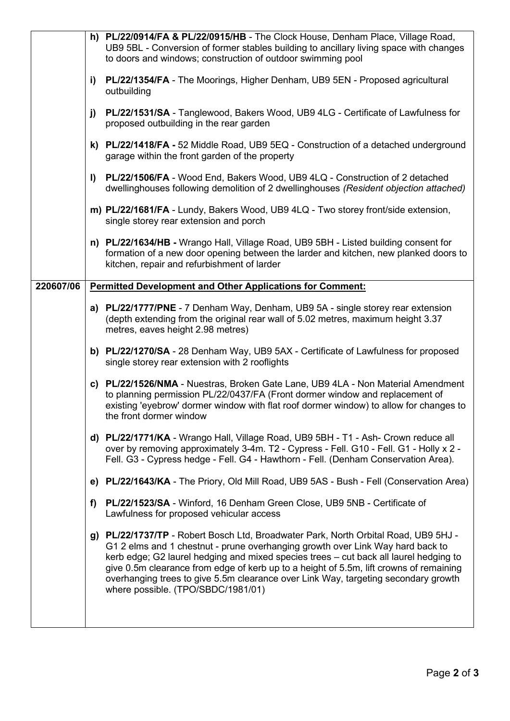|                                                                                                                            |                                                                                         | h) PL/22/0914/FA & PL/22/0915/HB - The Clock House, Denham Place, Village Road,<br>UB9 5BL - Conversion of former stables building to ancillary living space with changes<br>to doors and windows; construction of outdoor swimming pool                                              |                                                                                                                                                                                                                                                                                                                                                                                                                                                                                      |  |  |  |  |
|----------------------------------------------------------------------------------------------------------------------------|-----------------------------------------------------------------------------------------|---------------------------------------------------------------------------------------------------------------------------------------------------------------------------------------------------------------------------------------------------------------------------------------|--------------------------------------------------------------------------------------------------------------------------------------------------------------------------------------------------------------------------------------------------------------------------------------------------------------------------------------------------------------------------------------------------------------------------------------------------------------------------------------|--|--|--|--|
| i)                                                                                                                         |                                                                                         |                                                                                                                                                                                                                                                                                       | PL/22/1354/FA - The Moorings, Higher Denham, UB9 5EN - Proposed agricultural<br>outbuilding                                                                                                                                                                                                                                                                                                                                                                                          |  |  |  |  |
| j)                                                                                                                         |                                                                                         |                                                                                                                                                                                                                                                                                       | PL/22/1531/SA - Tanglewood, Bakers Wood, UB9 4LG - Certificate of Lawfulness for<br>proposed outbuilding in the rear garden                                                                                                                                                                                                                                                                                                                                                          |  |  |  |  |
| garage within the front garden of the property                                                                             |                                                                                         |                                                                                                                                                                                                                                                                                       | k) PL/22/1418/FA - 52 Middle Road, UB9 5EQ - Construction of a detached underground                                                                                                                                                                                                                                                                                                                                                                                                  |  |  |  |  |
|                                                                                                                            |                                                                                         | PL/22/1506/FA - Wood End, Bakers Wood, UB9 4LQ - Construction of 2 detached<br>I)<br>dwellinghouses following demolition of 2 dwellinghouses (Resident objection attached)                                                                                                            |                                                                                                                                                                                                                                                                                                                                                                                                                                                                                      |  |  |  |  |
|                                                                                                                            |                                                                                         | m) PL/22/1681/FA - Lundy, Bakers Wood, UB9 4LQ - Two storey front/side extension,<br>single storey rear extension and porch                                                                                                                                                           |                                                                                                                                                                                                                                                                                                                                                                                                                                                                                      |  |  |  |  |
|                                                                                                                            |                                                                                         |                                                                                                                                                                                                                                                                                       | n) PL/22/1634/HB - Wrango Hall, Village Road, UB9 5BH - Listed building consent for<br>formation of a new door opening between the larder and kitchen, new planked doors to<br>kitchen, repair and refurbishment of larder                                                                                                                                                                                                                                                           |  |  |  |  |
|                                                                                                                            | 220607/06                                                                               | <b>Permitted Development and Other Applications for Comment:</b>                                                                                                                                                                                                                      |                                                                                                                                                                                                                                                                                                                                                                                                                                                                                      |  |  |  |  |
|                                                                                                                            |                                                                                         |                                                                                                                                                                                                                                                                                       | a) PL/22/1777/PNE - 7 Denham Way, Denham, UB9 5A - single storey rear extension<br>(depth extending from the original rear wall of 5.02 metres, maximum height 3.37<br>metres, eaves height 2.98 metres)                                                                                                                                                                                                                                                                             |  |  |  |  |
|                                                                                                                            |                                                                                         | b) PL/22/1270/SA - 28 Denham Way, UB9 5AX - Certificate of Lawfulness for proposed<br>single storey rear extension with 2 rooflights                                                                                                                                                  |                                                                                                                                                                                                                                                                                                                                                                                                                                                                                      |  |  |  |  |
|                                                                                                                            |                                                                                         | c) PL/22/1526/NMA - Nuestras, Broken Gate Lane, UB9 4LA - Non Material Amendment<br>to planning permission PL/22/0437/FA (Front dormer window and replacement of<br>existing 'eyebrow' dormer window with flat roof dormer window) to allow for changes to<br>the front dormer window |                                                                                                                                                                                                                                                                                                                                                                                                                                                                                      |  |  |  |  |
|                                                                                                                            |                                                                                         |                                                                                                                                                                                                                                                                                       | d) PL/22/1771/KA - Wrango Hall, Village Road, UB9 5BH - T1 - Ash- Crown reduce all<br>over by removing approximately 3-4m. T2 - Cypress - Fell. G10 - Fell. G1 - Holly x 2 -<br>Fell. G3 - Cypress hedge - Fell. G4 - Hawthorn - Fell. (Denham Conservation Area).                                                                                                                                                                                                                   |  |  |  |  |
|                                                                                                                            | e) PL/22/1643/KA - The Priory, Old Mill Road, UB9 5AS - Bush - Fell (Conservation Area) |                                                                                                                                                                                                                                                                                       |                                                                                                                                                                                                                                                                                                                                                                                                                                                                                      |  |  |  |  |
| PL/22/1523/SA - Winford, 16 Denham Green Close, UB9 5NB - Certificate of<br>f)<br>Lawfulness for proposed vehicular access |                                                                                         |                                                                                                                                                                                                                                                                                       |                                                                                                                                                                                                                                                                                                                                                                                                                                                                                      |  |  |  |  |
|                                                                                                                            |                                                                                         |                                                                                                                                                                                                                                                                                       | g) PL/22/1737/TP - Robert Bosch Ltd, Broadwater Park, North Orbital Road, UB9 5HJ -<br>G1 2 elms and 1 chestnut - prune overhanging growth over Link Way hard back to<br>kerb edge; G2 laurel hedging and mixed species trees - cut back all laurel hedging to<br>give 0.5m clearance from edge of kerb up to a height of 5.5m, lift crowns of remaining<br>overhanging trees to give 5.5m clearance over Link Way, targeting secondary growth<br>where possible. (TPO/SBDC/1981/01) |  |  |  |  |
|                                                                                                                            |                                                                                         |                                                                                                                                                                                                                                                                                       |                                                                                                                                                                                                                                                                                                                                                                                                                                                                                      |  |  |  |  |